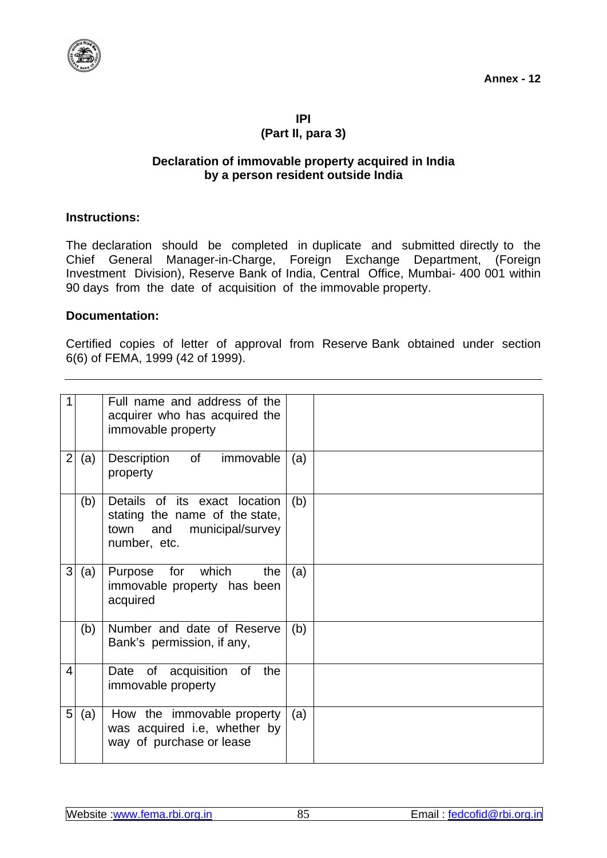

**IPI (Part II, para 3)** 

## **Declaration of immovable property acquired in India by a person resident outside India**

## **Instructions:**

The declaration should be completed in duplicate and submitted directly to the Chief General Manager-in-Charge, Foreign Exchange Department, (Foreign Investment Division), Reserve Bank of India, Central Office, Mumbai- 400 001 within 90 days from the date of acquisition of the immovable property.

## **Documentation:**

Certified copies of letter of approval from Reserve Bank obtained under section 6(6) of FEMA, 1999 (42 of 1999).

|                |     | Full name and address of the<br>acquirer who has acquired the<br>immovable property                          |     |  |
|----------------|-----|--------------------------------------------------------------------------------------------------------------|-----|--|
| $\overline{2}$ | (a) | Description of immovable<br>property                                                                         | (a) |  |
|                | (b) | Details of its exact location<br>stating the name of the state,<br>town and municipal/survey<br>number, etc. | (b) |  |
| 3              | (a) | Purpose for which the<br>immovable property has been<br>acquired                                             | (a) |  |
|                | (b) | Number and date of Reserve<br>Bank's permission, if any,                                                     | (b) |  |
| 4              |     | Date of acquisition of the<br>immovable property                                                             |     |  |
| 5              | (a) | How the immovable property<br>was acquired i.e, whether by<br>way of purchase or lease                       | (a) |  |